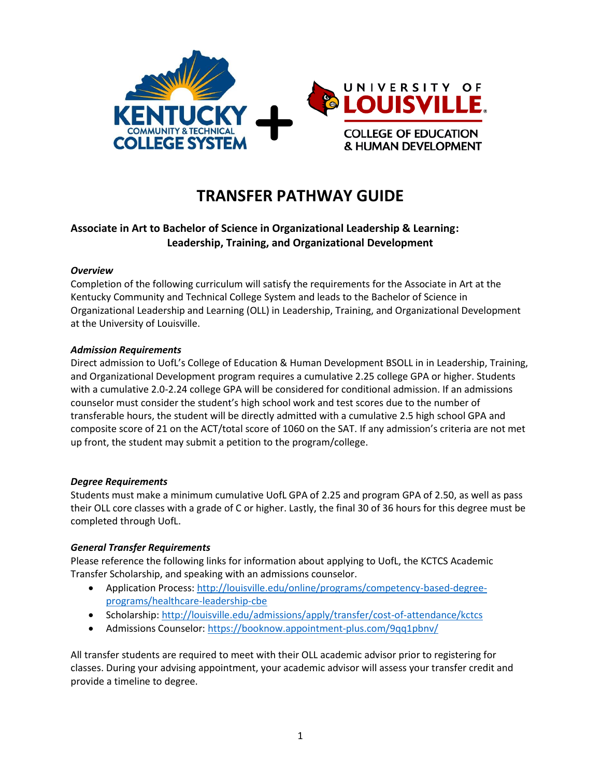

# **TRANSFER PATHWAY GUIDE**

## **Associate in Art to Bachelor of Science in Organizational Leadership & Learning: Leadership, Training, and Organizational Development**

#### *Overview*

Completion of the following curriculum will satisfy the requirements for the Associate in Art at the Kentucky Community and Technical College System and leads to the Bachelor of Science in Organizational Leadership and Learning (OLL) in Leadership, Training, and Organizational Development at the University of Louisville.

#### *Admission Requirements*

Direct admission to UofL's College of Education & Human Development BSOLL in in Leadership, Training, and Organizational Development program requires a cumulative 2.25 college GPA or higher. Students with a cumulative 2.0-2.24 college GPA will be considered for conditional admission. If an admissions counselor must consider the student's high school work and test scores due to the number of transferable hours, the student will be directly admitted with a cumulative 2.5 high school GPA and composite score of 21 on the ACT/total score of 1060 on the SAT. If any admission's criteria are not met up front, the student may submit a petition to the program/college.

#### *Degree Requirements*

Students must make a minimum cumulative UofL GPA of 2.25 and program GPA of 2.50, as well as pass their OLL core classes with a grade of C or higher. Lastly, the final 30 of 36 hours for this degree must be completed through UofL.

#### *General Transfer Requirements*

Please reference the following links for information about applying to UofL, the KCTCS Academic Transfer Scholarship, and speaking with an admissions counselor.

- Application Process[: http://louisville.edu/online/programs/competency-based-degree](http://louisville.edu/online/programs/competency-based-degree-programs/healthcare-leadership-cbe)[programs/healthcare-leadership-cbe](http://louisville.edu/online/programs/competency-based-degree-programs/healthcare-leadership-cbe)
- Scholarship[: http://louisville.edu/admissions/apply/transfer/cost-of-attendance/kctcs](http://louisville.edu/admissions/apply/transfer/cost-of-attendance/kctcs)
- Admissions Counselor[: https://booknow.appointment-plus.com/9qq1pbnv/](https://booknow.appointment-plus.com/9qq1pbnv/)

All transfer students are required to meet with their OLL academic advisor prior to registering for classes. During your advising appointment, your academic advisor will assess your transfer credit and provide a timeline to degree.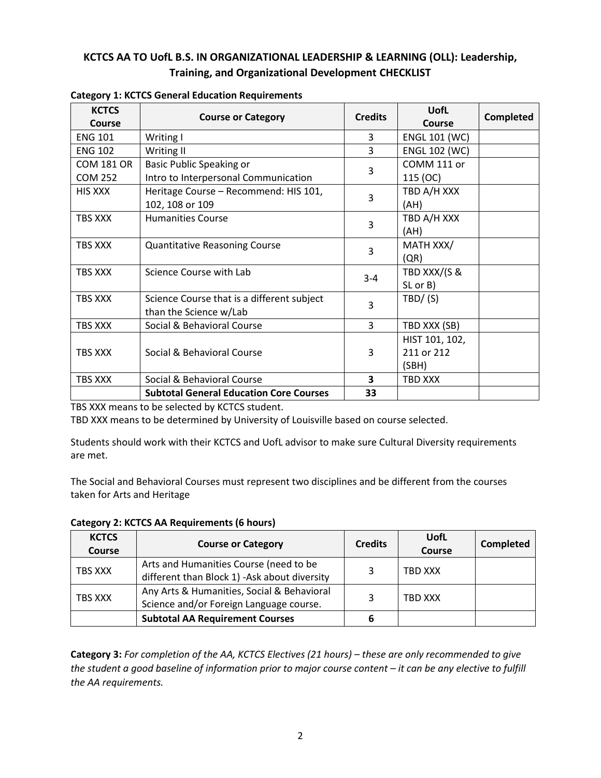## **KCTCS AA TO UofL B.S. IN ORGANIZATIONAL LEADERSHIP & LEARNING (OLL): Leadership, Training, and Organizational Development CHECKLIST**

| <b>KCTCS</b><br>Course | <b>Course or Category</b>                      | <b>Credits</b>          | <b>UofL</b><br>Course | <b>Completed</b> |
|------------------------|------------------------------------------------|-------------------------|-----------------------|------------------|
| <b>ENG 101</b>         | Writing I                                      | 3                       | <b>ENGL 101 (WC)</b>  |                  |
| <b>ENG 102</b>         | Writing II                                     | 3                       | <b>ENGL 102 (WC)</b>  |                  |
| <b>COM 181 OR</b>      | Basic Public Speaking or                       | 3                       | COMM 111 or           |                  |
| <b>COM 252</b>         | Intro to Interpersonal Communication           |                         | 115 (OC)              |                  |
| <b>HIS XXX</b>         | Heritage Course - Recommend: HIS 101,          | 3                       | TBD A/H XXX           |                  |
|                        | 102, 108 or 109                                |                         | (AH)                  |                  |
| TBS XXX                | <b>Humanities Course</b>                       | 3                       | TBD A/H XXX           |                  |
|                        |                                                |                         | (AH)                  |                  |
| TBS XXX                | <b>Quantitative Reasoning Course</b>           | 3                       | MATH XXX/             |                  |
|                        |                                                |                         | (QR)                  |                  |
| TBS XXX                | Science Course with Lab                        | $3 - 4$                 | TBD XXX/(S &          |                  |
|                        |                                                |                         | SL or B)              |                  |
| TBS XXX                | Science Course that is a different subject     | 3                       | TBD/ (S)              |                  |
|                        | than the Science w/Lab                         |                         |                       |                  |
| TBS XXX                | Social & Behavioral Course                     | 3                       | TBD XXX (SB)          |                  |
|                        |                                                |                         | HIST 101, 102,        |                  |
| TBS XXX                | Social & Behavioral Course                     | 3                       | 211 or 212            |                  |
|                        |                                                |                         | (SBH)                 |                  |
| TBS XXX                | Social & Behavioral Course                     | $\overline{\mathbf{3}}$ | TBD XXX               |                  |
|                        | <b>Subtotal General Education Core Courses</b> | 33                      |                       |                  |

#### **Category 1: KCTCS General Education Requirements**

TBS XXX means to be selected by KCTCS student.

TBD XXX means to be determined by University of Louisville based on course selected.

Students should work with their KCTCS and UofL advisor to make sure Cultural Diversity requirements are met.

The Social and Behavioral Courses must represent two disciplines and be different from the courses taken for Arts and Heritage

| <b>KCTCS</b><br><b>Course</b> | <b>Course or Category</b>                                                              | <b>Credits</b> | <b>UofL</b><br><b>Course</b> | <b>Completed</b> |
|-------------------------------|----------------------------------------------------------------------------------------|----------------|------------------------------|------------------|
| TBS XXX                       | Arts and Humanities Course (need to be<br>different than Block 1) -Ask about diversity | 3              | TBD XXX                      |                  |
| TBS XXX                       | Any Arts & Humanities, Social & Behavioral<br>Science and/or Foreign Language course.  | 3              | TBD XXX                      |                  |
|                               | <b>Subtotal AA Requirement Courses</b>                                                 | 6              |                              |                  |

**Category 2: KCTCS AA Requirements (6 hours)**

Category 3: For completion of the AA, KCTCS Electives (21 hours) – these are only recommended to give *the student a good baseline of information prior to major course content – it can be any elective to fulfill the AA requirements.*